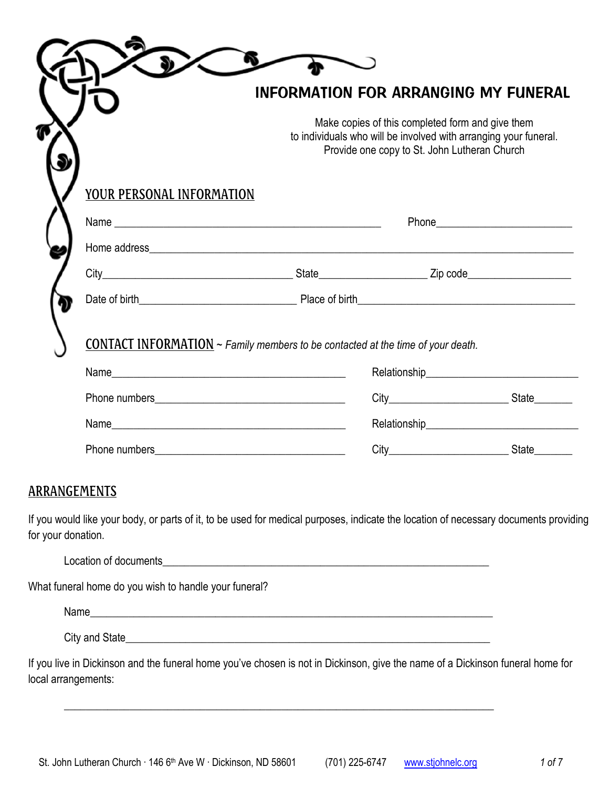|                           |                                                                                        | <b>INFORMATION FOR ARRANGING MY FUNERAL</b>                                                                                                                          |  |
|---------------------------|----------------------------------------------------------------------------------------|----------------------------------------------------------------------------------------------------------------------------------------------------------------------|--|
|                           |                                                                                        | Make copies of this completed form and give them<br>to individuals who will be involved with arranging your funeral.<br>Provide one copy to St. John Lutheran Church |  |
| YOUR PERSONAL INFORMATION |                                                                                        |                                                                                                                                                                      |  |
|                           |                                                                                        |                                                                                                                                                                      |  |
|                           |                                                                                        |                                                                                                                                                                      |  |
|                           |                                                                                        |                                                                                                                                                                      |  |
|                           |                                                                                        |                                                                                                                                                                      |  |
|                           | <b>CONTACT INFORMATION</b> ~ Family members to be contacted at the time of your death. |                                                                                                                                                                      |  |
|                           |                                                                                        |                                                                                                                                                                      |  |
|                           |                                                                                        |                                                                                                                                                                      |  |
|                           |                                                                                        |                                                                                                                                                                      |  |
|                           |                                                                                        |                                                                                                                                                                      |  |

## ARRANGEMENTS

If you would like your body, or parts of it, to be used for medical purposes, indicate the location of necessary documents providing for your donation.

| Location of documents |
|-----------------------|
|-----------------------|

What funeral home do you wish to handle your funeral?

| . .<br>N<br>. |  |  |  |
|---------------|--|--|--|
|               |  |  |  |

\_\_\_\_\_\_\_\_\_\_\_\_\_\_\_\_\_\_\_\_\_\_\_\_\_\_\_\_\_\_\_\_\_\_\_\_\_\_\_\_\_\_\_\_\_\_\_\_\_\_\_\_\_\_\_\_\_\_\_\_\_\_\_\_\_\_\_\_\_\_\_\_\_\_\_\_\_\_\_

City and State\_\_\_\_\_\_\_\_\_\_\_\_\_\_\_\_\_\_\_\_\_\_\_\_\_\_\_\_\_\_\_\_\_\_\_\_\_\_\_\_\_\_\_\_\_\_\_\_\_\_\_\_\_\_\_\_\_\_\_\_\_\_\_\_\_\_\_

If you live in Dickinson and the funeral home you've chosen is not in Dickinson, give the name of a Dickinson funeral home for local arrangements: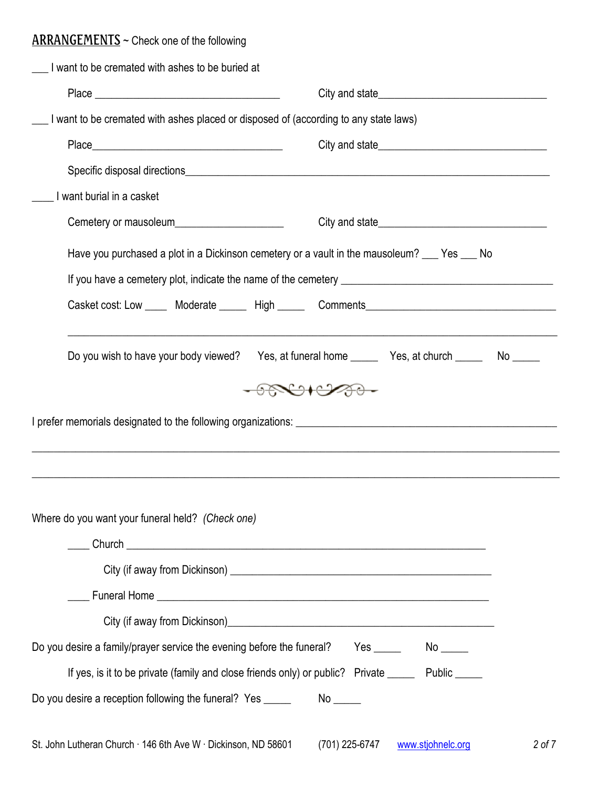# ARRANGEMENTS ~ Check one of the following

| I want to be cremated with ashes to be buried at                                                   |                                                                                                                                                                                                                                                                                                                                                     |
|----------------------------------------------------------------------------------------------------|-----------------------------------------------------------------------------------------------------------------------------------------------------------------------------------------------------------------------------------------------------------------------------------------------------------------------------------------------------|
|                                                                                                    |                                                                                                                                                                                                                                                                                                                                                     |
| I want to be cremated with ashes placed or disposed of (according to any state laws)               |                                                                                                                                                                                                                                                                                                                                                     |
|                                                                                                    |                                                                                                                                                                                                                                                                                                                                                     |
|                                                                                                    |                                                                                                                                                                                                                                                                                                                                                     |
| I want burial in a casket                                                                          |                                                                                                                                                                                                                                                                                                                                                     |
| Cemetery or mausoleum_________________________                                                     |                                                                                                                                                                                                                                                                                                                                                     |
| Have you purchased a plot in a Dickinson cemetery or a vault in the mausoleum? ___ Yes ___ No      |                                                                                                                                                                                                                                                                                                                                                     |
|                                                                                                    |                                                                                                                                                                                                                                                                                                                                                     |
|                                                                                                    | Casket cost: Low _____ Moderate _____ High _____ Comments________________________                                                                                                                                                                                                                                                                   |
|                                                                                                    |                                                                                                                                                                                                                                                                                                                                                     |
|                                                                                                    |                                                                                                                                                                                                                                                                                                                                                     |
| Do you wish to have your body viewed?                                                              | Yes, at funeral home ________ Yes, at church ________ No _____                                                                                                                                                                                                                                                                                      |
|                                                                                                    | $\begin{picture}(120,10) \put(0,0){\line(1,0){10}} \put(15,0){\line(1,0){10}} \put(15,0){\line(1,0){10}} \put(15,0){\line(1,0){10}} \put(15,0){\line(1,0){10}} \put(15,0){\line(1,0){10}} \put(15,0){\line(1,0){10}} \put(15,0){\line(1,0){10}} \put(15,0){\line(1,0){10}} \put(15,0){\line(1,0){10}} \put(15,0){\line(1,0){10}} \put(15,0){\line($ |
| Where do you want your funeral held? (Check one)                                                   | ,我们也不能在这里的人,我们也不能在这里的人,我们也不能在这里的人,我们也不能在这里的人,我们也不能在这里的人,我们也不能在这里的人,我们也不能在这里的人,我们也                                                                                                                                                                                                                                                                   |
|                                                                                                    |                                                                                                                                                                                                                                                                                                                                                     |
|                                                                                                    |                                                                                                                                                                                                                                                                                                                                                     |
|                                                                                                    |                                                                                                                                                                                                                                                                                                                                                     |
|                                                                                                    |                                                                                                                                                                                                                                                                                                                                                     |
| Do you desire a family/prayer service the evening before the funeral? Yes ______ No ____           |                                                                                                                                                                                                                                                                                                                                                     |
| If yes, is it to be private (family and close friends only) or public? Private ______ Public _____ |                                                                                                                                                                                                                                                                                                                                                     |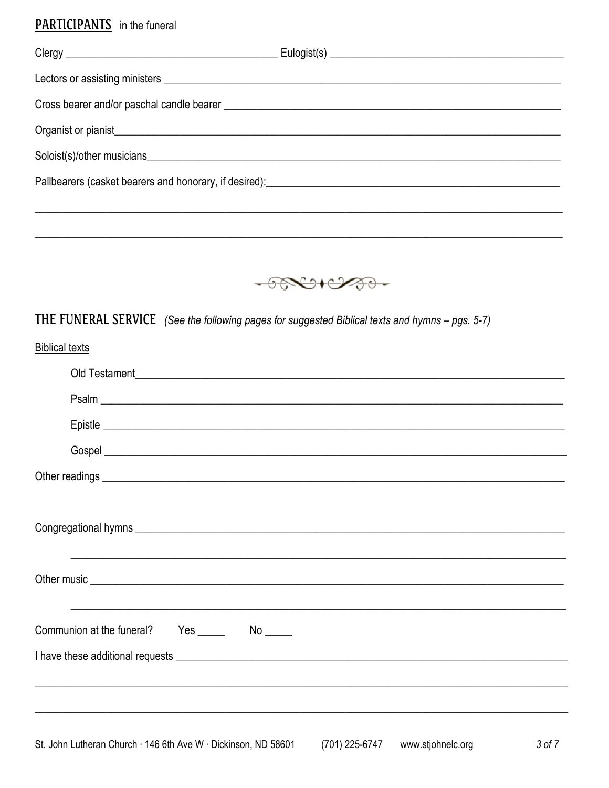# **PARTICIPANTS** in the funeral

| Organist or pianist<br><u>Draganist</u> or pianist |  |
|----------------------------------------------------|--|
|                                                    |  |
|                                                    |  |
|                                                    |  |



# THE FUNERAL SERVICE (See the following pages for suggested Biblical texts and hymns - pgs. 5-7)

| <b>Biblical texts</b>                                                                                                                                                                                                                |
|--------------------------------------------------------------------------------------------------------------------------------------------------------------------------------------------------------------------------------------|
|                                                                                                                                                                                                                                      |
|                                                                                                                                                                                                                                      |
|                                                                                                                                                                                                                                      |
|                                                                                                                                                                                                                                      |
|                                                                                                                                                                                                                                      |
|                                                                                                                                                                                                                                      |
|                                                                                                                                                                                                                                      |
| Other music <u>example and the contract of the contract of the contract of the contract of the contract of the contract of the contract of the contract of the contract of the contract of the contract of the contract of the c</u> |
| ,我们也不能在这里的时候,我们也不能在这里的时候,我们也不能在这里的时候,我们也不能会不能在这里的时候,我们也不能会不能会不能会不能会不能会不能会不能会不能会不                                                                                                                                                     |
|                                                                                                                                                                                                                                      |
|                                                                                                                                                                                                                                      |
|                                                                                                                                                                                                                                      |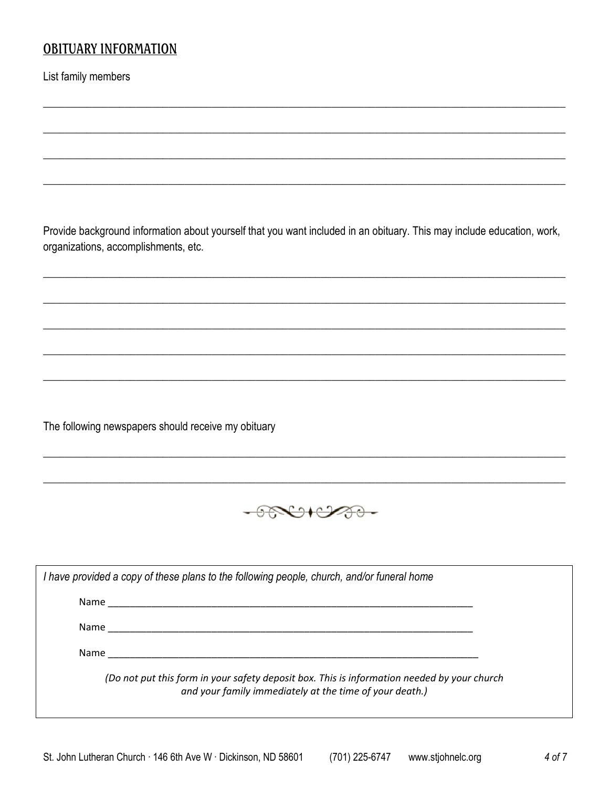# **OBITUARY INFORMATION**

List family members

Provide background information about yourself that you want included in an obituary. This may include education, work, organizations, accomplishments, etc.

The following newspapers should receive my obituary



|      | I have provided a copy of these plans to the following people, church, and/or funeral home                                                             |
|------|--------------------------------------------------------------------------------------------------------------------------------------------------------|
|      |                                                                                                                                                        |
| Name |                                                                                                                                                        |
|      | Name and the set of the set of the set of the set of the set of the set of the set of the set of the set of th                                         |
|      | (Do not put this form in your safety deposit box. This is information needed by your church<br>and your family immediately at the time of your death.) |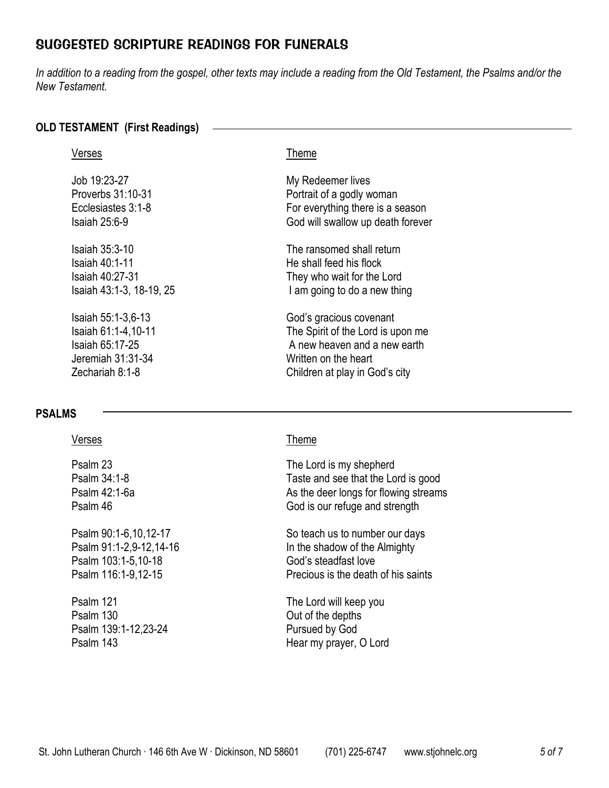# SUGGESTED SCRIPTURE READINGS FOR FUNERALS

*In addition to a reading from the gospel, other texts may include a reading from the Old Testament, the Psalms and/or the New Testament.*

## **OLD TESTAMENT (First Readings)**

| Verses                   | <b>I</b> heme                     |
|--------------------------|-----------------------------------|
| Job 19:23-27             | My Redeemer lives                 |
| Proverbs 31:10-31        | Portrait of a godly woman         |
| Ecclesiastes 3:1-8       | For everything there is a season  |
| Isaiah 25:6-9            | God will swallow up death forever |
| Isaiah 35:3-10           | The ransomed shall return         |
| Isaiah 40:1-11           | He shall feed his flock           |
| Isaiah 40:27-31          | They who wait for the Lord        |
| Isaiah 43:1-3, 18-19, 25 | I am going to do a new thing      |
| Isaiah 55:1-3,6-13       | God's gracious covenant           |
| Isaiah 61:1-4, 10-11     | The Spirit of the Lord is upon me |
| Isaiah 65:17-25          | A new heaven and a new earth      |
| Jeremiah 31:31-34        | Written on the heart              |
| Zechariah 8:1-8          | Children at play in God's city    |

## **PSALMS**

Psalm 103:1-5,10-18 God's steadfast love

Psalm 130 Out of the depths Psalm 139:1-12,23-24 Pursued by God

### Verses Theme

Psalm 23 The Lord is my shepherd<br>Psalm 34:1-8 Taste and see that the Lo Taste and see that the Lord is good Psalm 42:1-6a As the deer longs for flowing streams Psalm 46 God is our refuge and strength

Psalm 90:1-6,10,12-17 So teach us to number our days Psalm 91:1-2,9-12,14-16 In the shadow of the Almighty Psalm 116:1-9,12-15 Precious is the death of his saints

Psalm 121 The Lord will keep you Psalm 143 Hear my prayer, O Lord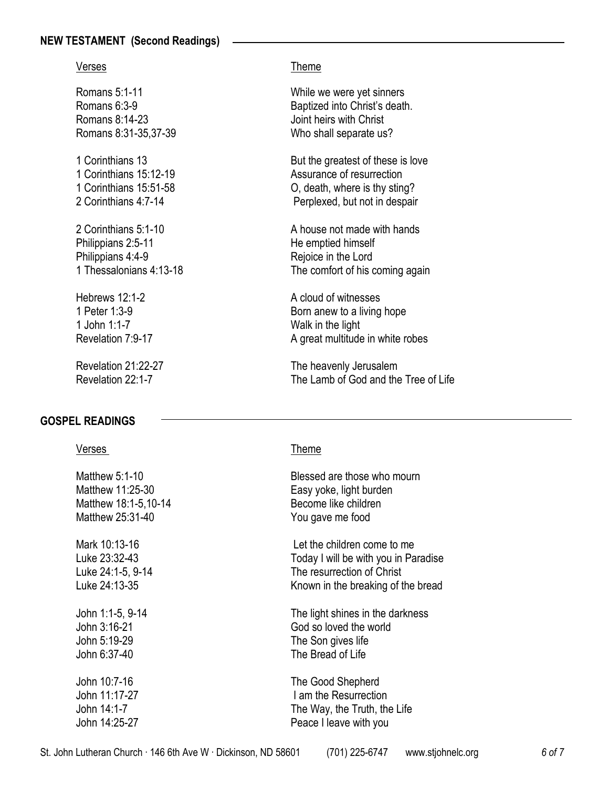## **NEW TESTAMENT (Second Readings)**

Romans 8:14-23 Joint heirs with Christ

- 
- Philippians 2:5-11 He emptied himself Philippians 4:4-9 Rejoice in the Lord

1 John 1:1-7 Walk in the light

## **GOSPEL READINGS**

### Verses **Theme**

Matthew 18:1-5,10-14 Become like children Matthew 25:31-40 You gave me food John 6:37-40 The Bread of Life John 10:7-16 The Good Shepherd

### Verses **Theme**

Romans 5:1-11 While we were yet sinners Romans 6:3-9 Baptized into Christ's death. Romans 8:31-35,37-39 Who shall separate us?

1 Corinthians 13 **But the greatest of these is love** But the greatest of these is love 1 Corinthians 15:12-19 Assurance of resurrection 1 Corinthians 15:51-58 O, death, where is thy sting? 2 Corinthians 4:7-14 Perplexed, but not in despair

2 Corinthians 5:1-10 A house not made with hands 1 Thessalonians 4:13-18 The comfort of his coming again

Hebrews  $12.1-2$  A cloud of witnesses 1 Peter 1:3-9 **Born** anew to a living hope Revelation 7:9-17 **A** great multitude in white robes

Revelation 21:22-27 The heavenly Jerusalem Revelation 22:1-7 The Lamb of God and the Tree of Life

Matthew 5:1-10 Blessed are those who mourn Matthew 11:25-30 Easy yoke, light burden

Mark 10:13-16 **Let the children come to me** Luke 23:32-43 Today I will be with you in Paradise Luke 24:1-5, 9-14 The resurrection of Christ Luke 24:13-35 Known in the breaking of the bread

John 1:1-5, 9-14 The light shines in the darkness John 3:16-21 God so loved the world<br>
John 5:19-29 The Son aives life The Son gives life

John 11:17-27 **I am the Resurrection** John 14:1-7 The Way, the Truth, the Life John 14:25-27 Peace I leave with you